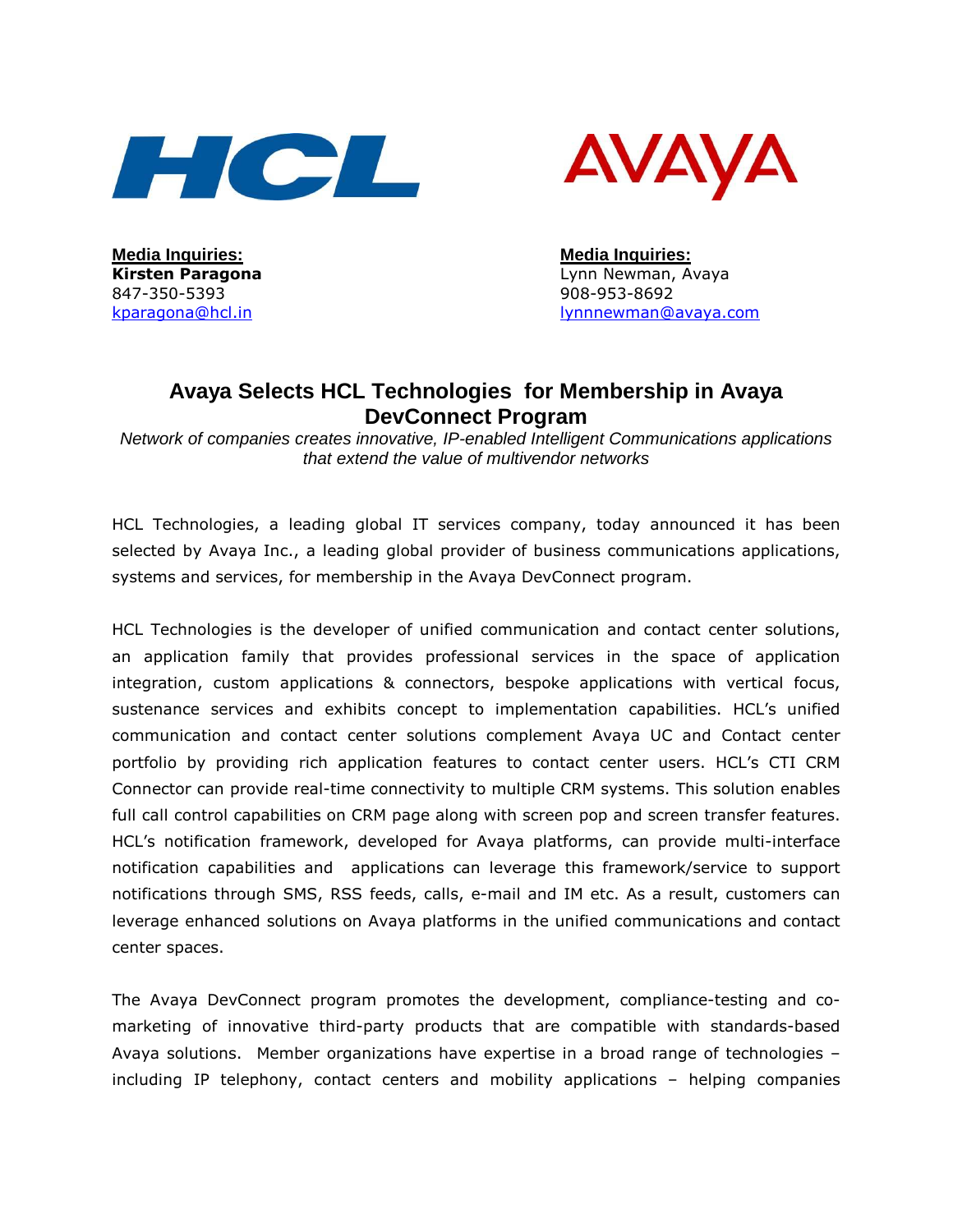



**Media Inquiries: Media Inquiries:** 847-350-5393 908-953-8692

Kirsten Paragona **Lynn Newman, Avaya** kparagona@hcl.in lynnnewman@avaya.com

# **Avaya Selects HCL Technologies for Membership in Avaya DevConnect Program**

Network of companies creates innovative, IP-enabled Intelligent Communications applications that extend the value of multivendor networks

HCL Technologies, a leading global IT services company, today announced it has been selected by Avaya Inc., a leading global provider of business communications applications, systems and services, for membership in the Avaya DevConnect program.

HCL Technologies is the developer of unified communication and contact center solutions, an application family that provides professional services in the space of application integration, custom applications & connectors, bespoke applications with vertical focus, sustenance services and exhibits concept to implementation capabilities. HCL's unified communication and contact center solutions complement Avaya UC and Contact center portfolio by providing rich application features to contact center users. HCL's CTI CRM Connector can provide real-time connectivity to multiple CRM systems. This solution enables full call control capabilities on CRM page along with screen pop and screen transfer features. HCL's notification framework, developed for Avaya platforms, can provide multi-interface notification capabilities and applications can leverage this framework/service to support notifications through SMS, RSS feeds, calls, e-mail and IM etc. As a result, customers can leverage enhanced solutions on Avaya platforms in the unified communications and contact center spaces.

The Avaya DevConnect program promotes the development, compliance-testing and comarketing of innovative third-party products that are compatible with standards-based Avaya solutions. Member organizations have expertise in a broad range of technologies – including IP telephony, contact centers and mobility applications – helping companies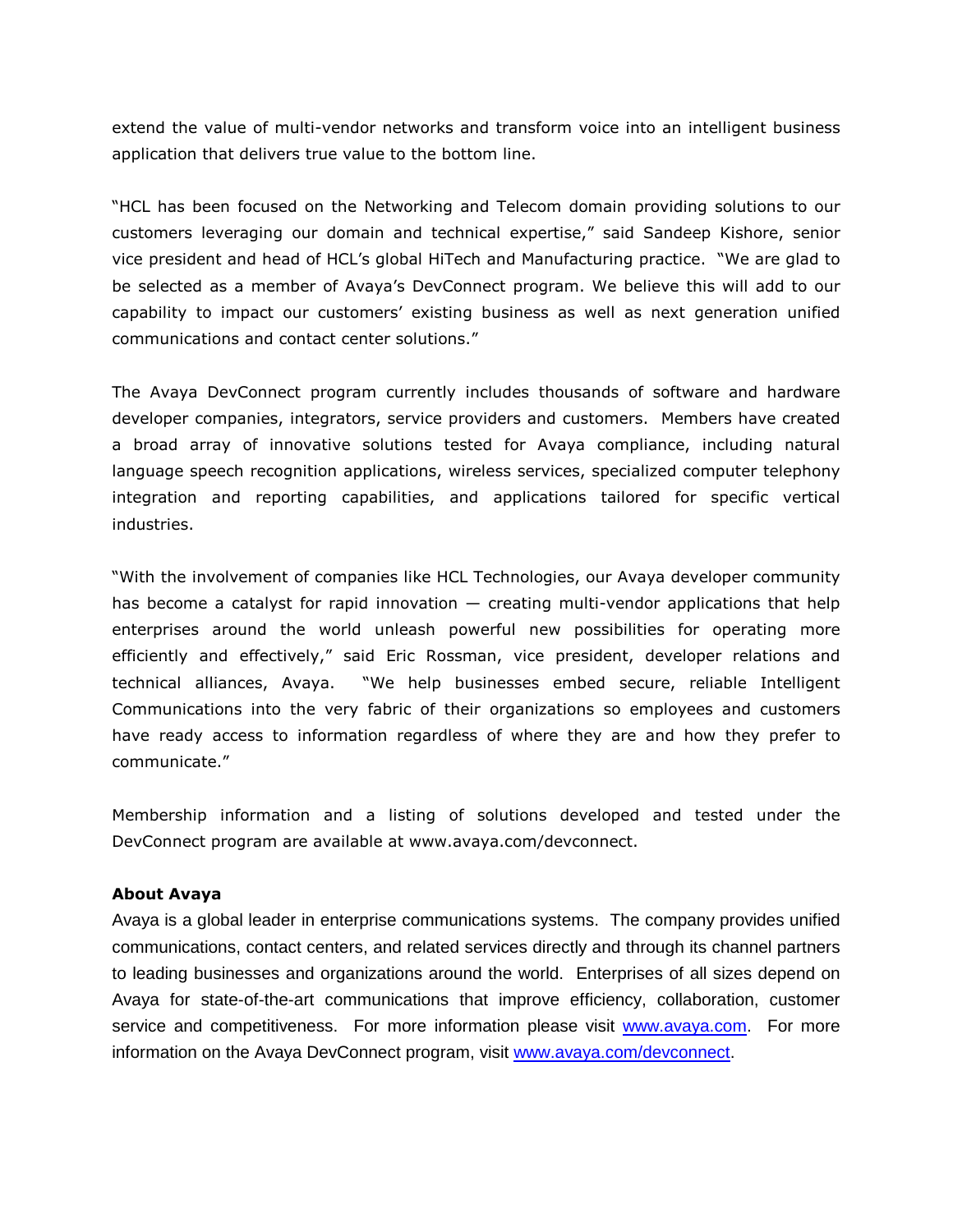extend the value of multi-vendor networks and transform voice into an intelligent business application that delivers true value to the bottom line.

"HCL has been focused on the Networking and Telecom domain providing solutions to our customers leveraging our domain and technical expertise," said Sandeep Kishore, senior vice president and head of HCL's global HiTech and Manufacturing practice. "We are glad to be selected as a member of Avaya's DevConnect program. We believe this will add to our capability to impact our customers' existing business as well as next generation unified communications and contact center solutions."

The Avaya DevConnect program currently includes thousands of software and hardware developer companies, integrators, service providers and customers. Members have created a broad array of innovative solutions tested for Avaya compliance, including natural language speech recognition applications, wireless services, specialized computer telephony integration and reporting capabilities, and applications tailored for specific vertical industries.

"With the involvement of companies like HCL Technologies, our Avaya developer community has become a catalyst for rapid innovation — creating multi-vendor applications that help enterprises around the world unleash powerful new possibilities for operating more efficiently and effectively," said Eric Rossman, vice president, developer relations and technical alliances, Avaya. "We help businesses embed secure, reliable Intelligent Communications into the very fabric of their organizations so employees and customers have ready access to information regardless of where they are and how they prefer to communicate."

Membership information and a listing of solutions developed and tested under the DevConnect program are available at www.avaya.com/devconnect.

# About Avaya

Avaya is a global leader in enterprise communications systems. The company provides unified communications, contact centers, and related services directly and through its channel partners to leading businesses and organizations around the world. Enterprises of all sizes depend on Avaya for state-of-the-art communications that improve efficiency, collaboration, customer service and competitiveness. For more information please visit www.avaya.com. For more information on the Avaya DevConnect program, visit www.avaya.com/devconnect.